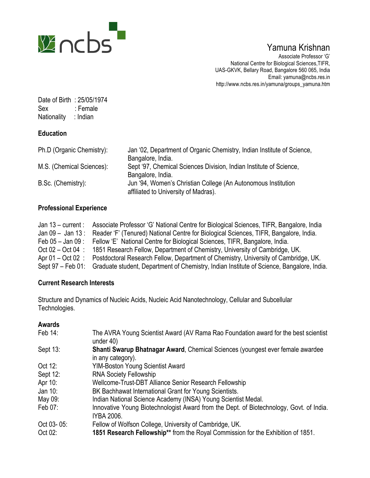

# Yamuna Krishnan

Associate Professor 'G' National Centre for Biological Sciences,TIFR, UAS-GKVK, Bellary Road, Bangalore 560 065, India Email: yamuna@ncbs.res.in http://www.ncbs.res.in/yamuna/groups\_yamuna.htm

Date of Birth : 25/05/1974 Sex : Female Nationality : Indian

## **Education**

| Ph.D (Organic Chemistry): | Jan '02, Department of Organic Chemistry, Indian Institute of Science,<br>Bangalore, India.           |
|---------------------------|-------------------------------------------------------------------------------------------------------|
| M.S. (Chemical Sciences): | Sept '97, Chemical Sciences Division, Indian Institute of Science,<br>Bangalore, India.               |
| B.Sc. (Chemistry):        | Jun '94, Women's Christian College (An Autonomous Institution<br>affiliated to University of Madras). |

## **Professional Experience**

| Jan $13$ – current :  | Associate Professor 'G' National Centre for Biological Sciences, TIFR, Bangalore, India   |
|-----------------------|-------------------------------------------------------------------------------------------|
| Jan $09 -$ Jan $13:$  | Reader 'F' (Tenured) National Centre for Biological Sciences, TIFR, Bangalore, India.     |
| Feb $05 -$ Jan $09$ : | Fellow 'E' National Centre for Biological Sciences, TIFR, Bangalore, India.               |
| Oct $02 - Oct 04$ :   | 1851 Research Fellow, Department of Chemistry, University of Cambridge, UK.               |
| Apr $01 - Oct 02$ :   | Postdoctoral Research Fellow, Department of Chemistry, University of Cambridge, UK.       |
| Sept 97 – Feb 01:     | Graduate student, Department of Chemistry, Indian Institute of Science, Bangalore, India. |

## **Current Research Interests**

Structure and Dynamics of Nucleic Acids, Nucleic Acid Nanotechnology, Cellular and Subcellular Technologies.

### **Awards**

| Feb 14:    | The AVRA Young Scientist Award (AV Rama Rao Foundation award for the best scientist<br>under 40)      |
|------------|-------------------------------------------------------------------------------------------------------|
| Sept 13:   | Shanti Swarup Bhatnagar Award, Chemical Sciences (youngest ever female awardee<br>in any category).   |
| Oct 12:    | <b>YIM-Boston Young Scientist Award</b>                                                               |
| Sept 12:   | <b>RNA Society Fellowship</b>                                                                         |
| Apr 10:    | Wellcome-Trust-DBT Alliance Senior Research Fellowship                                                |
| Jan 10:    | BK Bachhawat International Grant for Young Scientists.                                                |
| May 09:    | Indian National Science Academy (INSA) Young Scientist Medal.                                         |
| Feb 07:    | Innovative Young Biotechnologist Award from the Dept. of Biotechnology, Govt. of India.<br>IYBA 2006. |
| Oct 03-05: | Fellow of Wolfson College, University of Cambridge, UK.                                               |
| Oct 02:    | 1851 Research Fellowship** from the Royal Commission for the Exhibition of 1851.                      |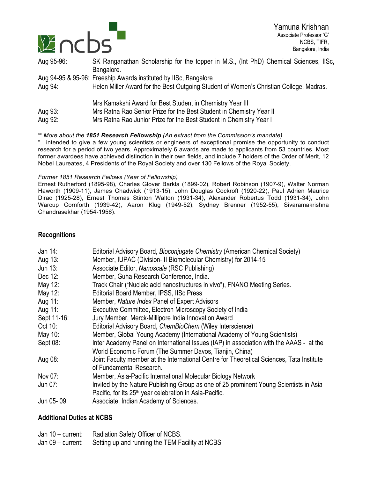

| Aug 95-96: | SK Ranganathan Scholarship for the topper in M.S., (Int PhD) Chemical Sciences, IISc,  |
|------------|----------------------------------------------------------------------------------------|
|            | Bangalore.                                                                             |
|            | Aug 94-95 & 95-96: Freeship Awards instituted by IISc, Bangalore                       |
| Aug 94:    | Helen Miller Award for the Best Outgoing Student of Women's Christian College, Madras. |
|            | Mrs Kamakshi Award for Best Student in Chemistry Year III                              |
| Aug 93:    | Mrs Ratna Rao Senior Prize for the Best Student in Chemistry Year II                   |
| Aug 92:    | Mrs Ratna Rao Junior Prize for the Best Student in Chemistry Year I                    |

#### \*\* *More about the 1851 Research Fellowship (An extract from the Commission's mandate)*

"…intended to give a few young scientists or engineers of exceptional promise the opportunity to conduct research for a period of two years. Approximately 6 awards are made to applicants from 53 countries. Most former awardees have achieved distinction in their own fields, and include 7 holders of the Order of Merit, 12 Nobel Laureates, 4 Presidents of the Royal Society and over 130 Fellows of the Royal Society.

#### *Former 1851 Research Fellows (Year of Fellowship)*

Ernest Rutherford (1895-98), Charles Glover Barkla (1899-02), Robert Robinson (1907-9), Walter Norman Haworth (1909-11), James Chadwick (1913-15), John Douglas Cockroft (1920-22), Paul Adrien Maurice Dirac (1925-28), Ernest Thomas Stinton Walton (1931-34), Alexander Robertus Todd (1931-34), John Warcup Cornforth (1939-42), Aaron Klug (1949-52), Sydney Brenner (1952-55), Sivaramakrishna Chandrasekhar (1954-1956).

#### **Recognitions**

| Jan 14:     | Editorial Advisory Board, Bioconjugate Chemistry (American Chemical Society)              |
|-------------|-------------------------------------------------------------------------------------------|
| Aug 13:     | Member, IUPAC (Division-III Biomolecular Chemistry) for 2014-15                           |
| Jun 13:     | Associate Editor, Nanoscale (RSC Publishing)                                              |
| Dec 12:     | Member, Guha Research Conference, India.                                                  |
| May 12:     | Track Chair ("Nucleic acid nanostructures in vivo"), FNANO Meeting Series.                |
| May 12:     | Editorial Board Member, IPSS, IISc Press                                                  |
| Aug 11:     | Member, Nature Index Panel of Expert Advisors                                             |
| Aug 11:     | Executive Committee, Electron Microscopy Society of India                                 |
| Sept 11-16: | Jury Member, Merck-Millipore India Innovation Award                                       |
| Oct 10:     | Editorial Advisory Board, ChemBioChem (Wiley Interscience)                                |
| May 10:     | Member, Global Young Academy (International Academy of Young Scientists)                  |
| Sept 08:    | Inter Academy Panel on International Issues (IAP) in association with the AAAS - at the   |
|             | World Economic Forum (The Summer Davos, Tianjin, China)                                   |
| Aug 08:     | Joint Faculty member at the International Centre for Theoretical Sciences, Tata Institute |
|             | of Fundamental Research.                                                                  |
| Nov 07:     | Member, Asia-Pacific International Molecular Biology Network                              |
| Jun 07:     | Invited by the Nature Publishing Group as one of 25 prominent Young Scientists in Asia    |
|             | Pacific, for its 25 <sup>th</sup> year celebration in Asia-Pacific.                       |
| Jun 05-09:  | Associate, Indian Academy of Sciences.                                                    |

#### **Additional Duties at NCBS**

| Jan 10 – current: Radiation Safety Officer of NCBS.               |
|-------------------------------------------------------------------|
| Jan 09 – current: Setting up and running the TEM Facility at NCBS |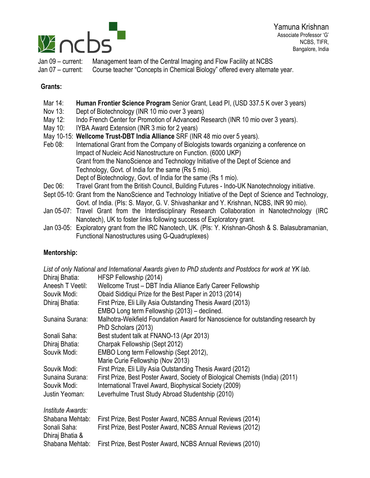

Jan 09 – current: Management team of the Central Imaging and Flow Facility at NCBS Jan 07 – current: Course teacher "Concepts in Chemical Biology" offered every alternate year.

## **Grants:**

- Mar 14: **Human Frontier Science Program** Senior Grant, Lead PI, (USD 337.5 K over 3 years)
- Nov 13: Dept of Biotechnology (INR 10 mio over 3 years)
- May 12: Indo French Center for Promotion of Advanced Research (INR 10 mio over 3 years).
- May 10: IYBA Award Extension (INR 3 mio for 2 years)
- May 10-15: **Wellcome Trust-DBT India Alliance** SRF (INR 48 mio over 5 years).
- Feb 08: International Grant from the Company of Biologists towards organizing a conference on Impact of Nucleic Acid Nanostructure on Function. (6000 UKP) Grant from the NanoScience and Technology Initiative of the Dept of Science and Technology, Govt. of India for the same (Rs 5 mio). Dept of Biotechnology, Govt. of India for the same (Rs 1 mio). Dec 06: Travel Grant from the British Council, Building Futures - Indo-UK Nanotechnology initiative.
- Sept 05-10: Grant from the NanoScience and Technology Initiative of the Dept of Science and Technology, Govt. of India. (PIs: S. Mayor, G. V. Shivashankar and Y. Krishnan, NCBS, INR 90 mio).
- Jan 05-07: Travel Grant from the Interdisciplinary Research Collaboration in Nanotechnology (IRC Nanotech), UK to foster links following success of Exploratory grant.
- Jan 03-05: Exploratory grant from the IRC Nanotech, UK. (PIs: Y. Krishnan-Ghosh & S. Balasubramanian, Functional Nanostructures using G-Quadruplexes)

## **Mentorship:**

|                   | List of only National and International Awards given to PhD students and Postdocs for work at YK lab. |
|-------------------|-------------------------------------------------------------------------------------------------------|
| Dhiraj Bhatia:    | HFSP Fellowship (2014)                                                                                |
| Aneesh T Veetil:  | Wellcome Trust - DBT India Alliance Early Career Fellowship                                           |
| Souvik Modi:      | Obaid Siddiqui Prize for the Best Paper in 2013 (2014)                                                |
| Dhiraj Bhatia:    | First Prize, Eli Lilly Asia Outstanding Thesis Award (2013)                                           |
|                   | EMBO Long term Fellowship (2013) – declined.                                                          |
| Sunaina Surana:   | Malhotra-Weikfield Foundation Award for Nanoscience for outstanding research by                       |
|                   | PhD Scholars (2013)                                                                                   |
| Sonali Saha:      | Best student talk at FNANO-13 (Apr 2013)                                                              |
| Dhiraj Bhatia:    | Charpak Fellowship (Sept 2012)                                                                        |
| Souvik Modi:      | EMBO Long term Fellowship (Sept 2012),                                                                |
|                   | Marie Curie Fellowship (Nov 2013)                                                                     |
| Souvik Modi:      | First Prize, Eli Lilly Asia Outstanding Thesis Award (2012)                                           |
| Sunaina Surana:   | First Prize, Best Poster Award, Society of Biological Chemists (India) (2011)                         |
| Souvik Modi:      | International Travel Award, Biophysical Society (2009)                                                |
| Justin Yeoman:    | Leverhulme Trust Study Abroad Studentship (2010)                                                      |
| Institute Awards: |                                                                                                       |
| Shabana Mehtab:   | First Prize, Best Poster Award, NCBS Annual Reviews (2014)                                            |
| Sonali Saha:      | First Prize, Best Poster Award, NCBS Annual Reviews (2012)                                            |
| Dhiraj Bhatia &   |                                                                                                       |
| Shabana Mehtab:   | First Prize, Best Poster Award, NCBS Annual Reviews (2010)                                            |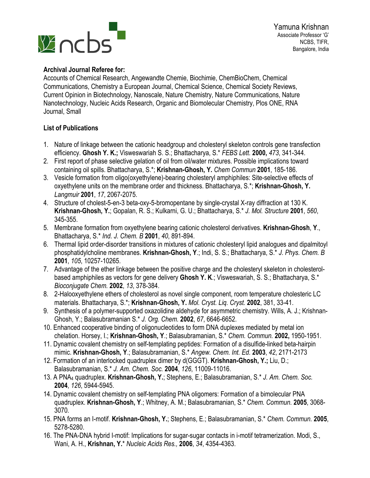

#### **Archival Journal Referee for:**

Accounts of Chemical Research, Angewandte Chemie, Biochimie, ChemBioChem, Chemical Communications, Chemistry a European Journal, Chemical Science, Chemical Society Reviews, Current Opinion in Biotechnology, Nanoscale, Nature Chemistry, Nature Communications, Nature Nanotechnology, Nucleic Acids Research, Organic and Biomolecular Chemistry, Plos ONE, RNA Journal, Small

### **List of Publications**

- 1. Nature of linkage between the cationic headgroup and cholesteryl skeleton controls gene transfection efficiency. **Ghosh Y. K.;** Visweswariah S. S.; Bhattacharya, S.\* *FEBS Lett.* **2000,** *473*, 341-344.
- 2. First report of phase selective gelation of oil from oil/water mixtures. Possible implications toward containing oil spills. Bhattacharya, S.\*; **Krishnan-Ghosh, Y.** *Chem Commun* **2001**, 185-186.
- 3. Vesicle formation from oligo(oxyethylene)-bearing cholesteryl amphiphiles: Site-selective effects of oxyethylene units on the membrane order and thickness. Bhattacharya, S.\*; **Krishnan-Ghosh, Y.**  *Langmuir* **2001**, *17*, 2067-2075.
- 4. Structure of cholest-5-en-3 beta-oxy-5-bromopentane by single-crystal X-ray diffraction at 130 K. **Krishnan-Ghosh, Y.**; Gopalan, R. S.; Kulkarni, G. U.; Bhattacharya, S.\* *J. Mol. Structure* **2001**, *560*, 345-355.
- 5. Membrane formation from oxyethylene bearing cationic cholesterol derivatives. **Krishnan-Ghosh**, **Y**., Bhattacharya, S.\* *Ind. J. Chem. B* **2001**, *40*, 891-894.
- 6. Thermal lipid order-disorder transitions in mixtures of cationic cholesteryl lipid analogues and dipalmitoyl phosphatidylcholine membranes. **Krishnan-Ghosh, Y**.; Indi, S. S.; Bhattacharya, S.\* *J*. *Phys. Chem. B* **2001**, *105*, 10257-10265.
- 7. Advantage of the ether linkage between the positive charge and the cholesteryl skeleton in cholesterolbased amphiphiles as vectors for gene delivery **Ghosh Y. K**.; Visweswariah, S. S.; Bhattacharya, S.\* *Bioconjugate Chem.* **2002**, *13*, 378-384.
- 8. 2-Halooxyethylene ethers of cholesterol as novel single component, room temperature cholesteric LC materials. Bhattacharya, S.\*; **Krishnan-Ghosh, Y.** *Mol. Cryst. Liq. Cryst.* **2002**, 381, 33-41.
- 9. Synthesis of a polymer-supported oxazolidine aldehyde for asymmetric chemistry. Wills, A. J.; Krishnan-Ghosh, Y.; Balasubramanian S.\* *J. Org. Chem.* **2002**, *67*, 6646-6652.
- 10. Enhanced cooperative binding of oligonucleotides to form DNA duplexes mediated by metal ion chelation. Horsey, I.; **Krishnan-Ghosh, Y**.; Balasubramanian, S.\* *Chem. Commun.* **2002,** 1950-1951.
- 11. Dynamic covalent chemistry on self-templating peptides: Formation of a disulfide-linked beta-hairpin mimic. **Krishnan-Ghosh, Y**.; Balasubramanian, S.\* *Angew. Chem. Int. Ed.* **2003**, *42*, 2171-2173
- 12. Formation of an interlocked quadruplex dimer by d(GGGT). **Krishnan-Ghosh, Y.;** Liu, D.; Balasubramanian, S.\* *J. Am. Chem. Soc.* **2004**, *126*, 11009-11016.
- 13. A PNA4 quadruplex. **Krishnan-Ghosh, Y.**; Stephens, E.; Balasubramanian, S.\* *J. Am. Chem. Soc.* **2004**, *126*, 5944-5945.
- 14. Dynamic covalent chemistry on self-templating PNA oligomers: Formation of a bimolecular PNA quadruplex. **Krishnan-Ghosh, Y**.; Whitney, A. M.; Balasubramanian, S.\* *Chem. Commun.* **2005**, 3068- 3070*.*
- 15. PNA forms an I-motif. **Krishnan-Ghosh, Y.**; Stephens, E.; Balasubramanian, S.\* *Chem. Commun.* **2005**, 5278-5280.
- 16. The PNA-DNA hybrid I-motif: Implications for sugar-sugar contacts in i-motif tetramerization. Modi, S., Wani, A. H., **Krishnan, Y.**\* *Nucleic Acids Res.,* **2006**, *34*, 4354-4363.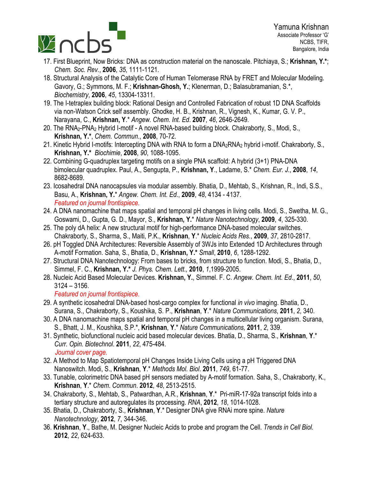

- *Chem. Soc. Rev.*, **2006**, *35*, 1111-1121.
- 18. Structural Analysis of the Catalytic Core of Human Telomerase RNA by FRET and Molecular Modeling. Gavory, G.; Symmons, M. F.; **Krishnan-Ghosh, Y.**; Klenerman, D.; Balasubramanian, S.\*, *Biochemistry*, **2006**, *45*, 13304-13311.
- 19. The I-tetraplex building block: Rational Design and Controlled Fabrication of robust 1D DNA Scaffolds via non-Watson Crick self assembly. Ghodke, H. B., Krishnan, R., Vignesh, K., Kumar, G. V. P., Narayana, C., **Krishnan, Y**.\* *Angew. Chem. Int. Ed*. **2007**, *46*, 2646-2649.
- 20. The RNA2-PNA2 Hybrid I-motif A novel RNA-based building block. Chakraborty, S., Modi, S., **Krishnan, Y.\***, *Chem. Commun*., **2008**, 70-72.
- 21. Kinetic Hybrid I-motifs: Intercepting DNA with RNA to form a DNA2RNA2 hybrid i-motif. Chakraborty, S., **Krishnan, Y.\*** *Biochimie*, **2008**, *90*, 1088-1095.
- 22. Combining G-quadruplex targeting motifs on a single PNA scaffold: A hybrid (3+1) PNA-DNA bimolecular quadruplex. Paul, A., Sengupta, P., **Krishnan, Y**., Ladame, S.\* *Chem. Eur. J.*, **2008**, *14*, 8682-8689.
- 23. Icosahedral DNA nanocapsules via modular assembly. Bhatia, D., Mehtab, S., Krishnan, R., Indi, S.S., Basu, A., **Krishnan, Y.**\* *Angew. Chem. Int. Ed*., **2009**, *48*, 4134 - 4137. *Featured on journal frontispiece.*
- 24. A DNA nanomachine that maps spatial and temporal pH changes in living cells. Modi, S., Swetha, M. G., Goswami, D., Gupta, G. D., Mayor, S., **Krishnan, Y.**\* *Nature Nanotechnology*, **2009**, *4*, 325-330.
- 25. The poly dA helix: A new structural motif for high-performance DNA-based molecular switches. Chakraborty, S., Sharma, S., Maiti, P.K., **Krishnan**, **Y**.\* *Nucleic Acids Res.*, **2009**, *37*, 2810-2817.
- 26. pH Toggled DNA Architectures: Reversible Assembly of 3WJs into Extended 1D Architectures through A-motif Formation. Saha, S., Bhatia, D., **Krishnan, Y.\*** *Small*, **2010**, *6*, 1288-1292.
- 27. Structural DNA Nanotechnology: From bases to bricks, from structure to function. Modi, S., Bhatia, D., Simmel, F. C., **Krishnan, Y.\*** *J. Phys. Chem. Lett.,* **2010**, *1*,1999-2005.
- 28. Nucleic Acid Based Molecular Devices. **Krishnan, Y.**, Simmel. F. C. *Angew. Chem. Int. Ed*., **2011**, *50*, 3124 – 3156.

*Featured on journal frontispiece.*

- 29. A synthetic icosahedral DNA-based host-cargo complex for functional *in vivo* imaging. Bhatia, D., Surana, S., Chakraborty, S., Koushika, S. P., **Krishnan**, **Y**.\* *Nature Communications*, **2011**, *2*, 340.
- 30. A DNA nanomachine maps spatial and temporal pH changes in a multicellular living organism. Surana, S., Bhatt, J. M., Koushika, S.P.\*, **Krishnan**, **Y**.\* *Nature Communications,* **2011**, *2*, 339.
- 31. Synthetic, biofunctional nucleic acid based molecular devices. Bhatia, D., Sharma, S., **Krishnan**, **Y**.\* *Curr. Opin. Biotechnol*. **2011**, *22*, 475-484.  *Journal cover page.*
- 32. A Method to Map Spatiotemporal pH Changes Inside Living Cells using a pH Triggered DNA Nanoswitch. Modi, S., **Krishnan**, **Y**.\* *Methods Mol. Biol*. **2011**, *749*, 61-77.
- 33. Tunable, colorimetric DNA based pH sensors mediated by A-motif formation. Saha, S., Chakraborty, K., **Krishnan**, **Y**.\* *Chem*. *Commun*. **2012**, *48*, 2513-2515.
- 34. Chakraborty, S., Mehtab, S., Patwardhan, A.R., **Krishnan**, **Y**.\* Pri-miR-17-92a transcript folds into a tertiary structure and autoregulates its processing. *RNA*, **2012**, *18*, 1014-1028.
- 35. Bhatia, D., Chakraborty, S., **Krishnan**, **Y**.\* Designer DNA give RNAi more spine. *Nature Nanotechnology*, **2012**, *7*, 344-346.
- 36. **Krishnan**, **Y**., Bathe, M. Designer Nucleic Acids to probe and program the Cell. *Trends in Cell Biol.* **2012**, *22*, 624-633.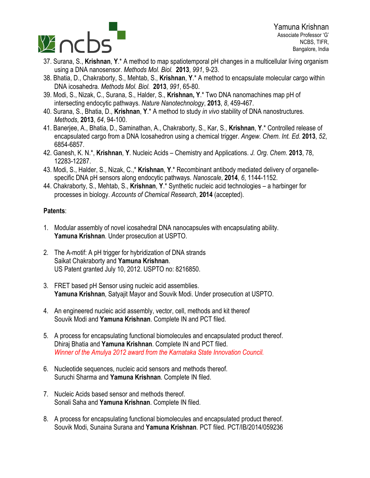

- using a DNA nanosensor. *Methods Mol. Biol.* **2013**, *991*, 9-23.
- 38. Bhatia, D., Chakraborty, S., Mehtab, S., **Krishnan**, **Y**.\* A method to encapsulate molecular cargo within DNA icosahedra. *Methods Mol. Biol.* **2013**, *991*, 65-80.
- 39. Modi, S., Nizak, C., Surana, S., Halder, S., **Krishnan, Y**.\* Two DNA nanomachines map pH of intersecting endocytic pathways. *Nature Nanotechnology*, **2013**, *8*, 459-467.
- 40. Surana, S., Bhatia, D., **Krishnan**, **Y**.\* A method to study *in vivo* stability of DNA nanostructures. *Methods*, **2013**, *64*, 94-100.
- 41. Banerjee, A., Bhatia, D., Saminathan, A., Chakraborty, S., Kar, S., **Krishnan**, **Y**.\* Controlled release of encapsulated cargo from a DNA Icosahedron using a chemical trigger. *Angew. Chem. Int. Ed.* **2013**, *52*, 6854-6857.
- 42. Ganesh, K. N.\*, **Krishnan**, **Y**. Nucleic Acids Chemistry and Applications. *J. Org*. *Chem*. **2013**, 78, 12283-12287.
- 43. Modi, S., Halder, S., Nizak, C.,\* **Krishnan**, **Y**.\* Recombinant antibody mediated delivery of organellespecific DNA pH sensors along endocytic pathways. *Nanoscale*, **2014**, *6*, 1144-1152.
- 44. Chakraborty, S., Mehtab, S., **Krishnan**, **Y**.\* Synthetic nucleic acid technologies a harbinger for processes in biology. *Accounts of Chemical Research*, **2014** (accepted).

#### **Patents**:

- 1. Modular assembly of novel icosahedral DNA nanocapsules with encapsulating ability. **Yamuna Krishnan**. Under prosecution at USPTO.
- 2. The A-motif: A pH trigger for hybridization of DNA strands Saikat Chakraborty and **Yamuna Krishnan**. US Patent granted July 10, 2012. USPTO no: 8216850.
- 3. FRET based pH Sensor using nucleic acid assemblies. **Yamuna Krishnan**, Satyajit Mayor and Souvik Modi. Under prosecution at USPTO.
- 4. An engineered nucleic acid assembly, vector, cell, methods and kit thereof Souvik Modi and **Yamuna Krishnan**. Complete IN and PCT filed.
- 5. A process for encapsulating functional biomolecules and encapsulated product thereof. Dhiraj Bhatia and **Yamuna Krishnan**. Complete IN and PCT filed. *Winner of the Amulya 2012 award from the Karnataka State Innovation Council.*
- 6. Nucleotide sequences, nucleic acid sensors and methods thereof. Suruchi Sharma and **Yamuna Krishnan**. Complete IN filed.
- 7. Nucleic Acids based sensor and methods thereof. Sonali Saha and **Yamuna Krishnan**. Complete IN filed.
- 8. A process for encapsulating functional biomolecules and encapsulated product thereof. Souvik Modi, Sunaina Surana and **Yamuna Krishnan**. PCT filed. PCT/IB/2014/059236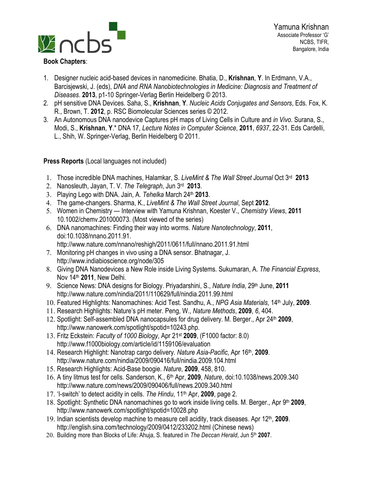

- 1. Designer nucleic acid-based devices in nanomedicine. Bhatia, D., **Krishnan**, **Y**. In Erdmann, V.A., Barcisjewski, J. (eds), *DNA and RNA Nanobiotechnologies in Medicine: Diagnosis and Treatment of Diseases*. **2013**, p1-10 Springer-Verlag Berlin Heidelberg © 2013.
- 2. pH sensitive DNA Devices. Saha, S., **Krishnan**, **Y**. *Nucleic Acids Conjugates and Sensors*, Eds. Fox, K. R., Brown, T. **2012**, p. RSC Biomolecular Sciences series © 2012.
- 3. An Autonomous DNA nanodevice Captures pH maps of Living Cells in Culture and *in Vivo*. Surana, S., Modi, S., **Krishnan**, **Y**.\* DNA 17, *Lecture Notes in Computer Science*, **2011**, *6937*, 22-31. Eds Cardelli, L., Shih, W. Springer-Verlag, Berlin Heidelberg © 2011.

### **Press Reports** (Local languages not included)

- 1. Those incredible DNA machines, Halamkar, S. *LiveMint & The Wall Street Journal* Oct 3rd **2013**
- 2. Nanosleuth, Jayan, T. V. *The Telegraph*, Jun 3rd **2013**.
- 3. Playing Lego with DNA. Jain, A. *Tehelka* March 24th **2013**.
- 4. The game-changers. Sharma, K., *LiveMint & The Wall Street Journal*, Sept **2012**.
- 5. Women in Chemistry Interview with Yamuna Krishnan, Koester V., *Chemistry Views*, **2011** 10.1002/chemv.201000073. (Most viewed of the series)
- 6. DNA nanomachines: Finding their way into worms. *Nature Nanotechnology*, **2011**, doi:10.1038/nnano.2011.91. http://www.nature.com/nnano/reshigh/2011/0611/full/nnano.2011.91.html
- 7. Monitoring pH changes in vivo using a DNA sensor. Bhatnagar, J. http://www.indiabioscience.org/node/305
- 8. Giving DNA Nanodevices a New Role inside Living Systems. Sukumaran, A. *The Financial Express*, Nov 14th **2011**, New Delhi.
- 9. Science News: DNA designs for Biology. Priyadarshini, S., *Nature India*, 29th June, **2011** http://www.nature.com/nindia/2011/110629/full/nindia.2011.99.html
- 10. Featured Highlights: Nanomachines: Acid Test. Sandhu, A., *NPG Asia Materials*, 14th July, **2009**.
- 11. Research Highlights: Nature's pH meter. Peng, W., *Nature Methods*, **2009**, *6*, 404.
- 12. Spotlight: Self-assembled DNA nanocapsules for drug delivery. M. Berger., Apr 24th **2009**, http://www.nanowerk.com/spotlight/spotid=10243.php.
- 13. Fritz Eckstein: *Faculty of 1000 Biology*, Apr 21st **2009**, (F1000 factor: 8.0) http://www.f1000biology.com/article/id/1159106/evaluation
- 14. Research Highlight: Nanotrap cargo delivery. *Nature Asia-Pacific*, Apr 16th, **2009**. http://www.nature.com/nindia/2009/090416/full/nindia.2009.104.html
- 15. Research Highlights: Acid-Base boogie. *Nature*, **2009**, 458, 810.
- 16. A tiny litmus test for cells. Sanderson, K., 6th Apr, **2009**, *Nature*, doi:10.1038/news.2009.340 http://www.nature.com/news/2009/090406/full/news.2009.340.html
- 17. 'I-switch' to detect acidity in cells. *The Hindu*, 11th Apr, **2009**, page 2.
- 18. Spotlight: Synthetic DNA nanomachines go to work inside living cells. M. Berger., Apr 9th **2009**, http://www.nanowerk.com/spotlight/spotid=10028.php
- 19. Indian scientists develop machine to measure cell acidity, track diseases. Apr 12th, **2009**. http://english.sina.com/technology/2009/0412/233202.html (Chinese news)
- 20. Building more than Blocks of Life: Ahuja, S. featured in *The Deccan Herald*, Jun 5<sup>th</sup> 2007.